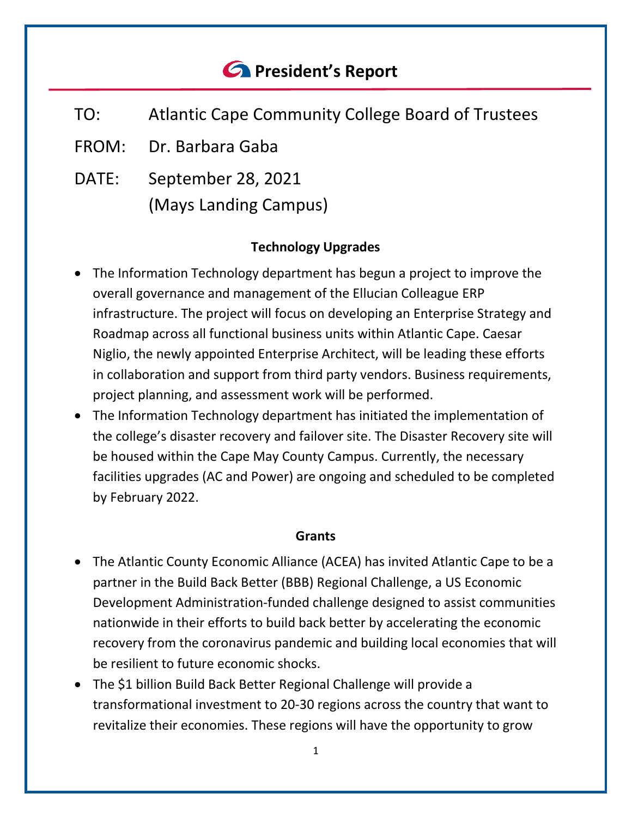# *<u>C* President's Report</u>

- TO: Atlantic Cape Community College Board of Trustees
- FROM: Dr. Barbara Gaba
- DATE: September 28, 2021 (Mays Landing Campus)

# **Technology Upgrades**

- The Information Technology department has begun a project to improve the overall governance and management of the Ellucian Colleague ERP infrastructure. The project will focus on developing an Enterprise Strategy and Roadmap across all functional business units within Atlantic Cape. Caesar Niglio, the newly appointed Enterprise Architect, will be leading these efforts in collaboration and support from third party vendors. Business requirements, project planning, and assessment work will be performed.
- The Information Technology department has initiated the implementation of the college's disaster recovery and failover site. The Disaster Recovery site will be housed within the Cape May County Campus. Currently, the necessary facilities upgrades (AC and Power) are ongoing and scheduled to be completed by February 2022.

#### **Grants**

- The Atlantic County Economic Alliance (ACEA) has invited Atlantic Cape to be a partner in the Build Back Better (BBB) Regional Challenge, a US Economic Development Administration-funded challenge designed to assist communities nationwide in their efforts to build back better by accelerating the economic recovery from the coronavirus pandemic and building local economies that will be resilient to future economic shocks.
- The \$1 billion Build Back Better Regional Challenge will provide a transformational investment to 20-30 regions across the country that want to revitalize their economies. These regions will have the opportunity to grow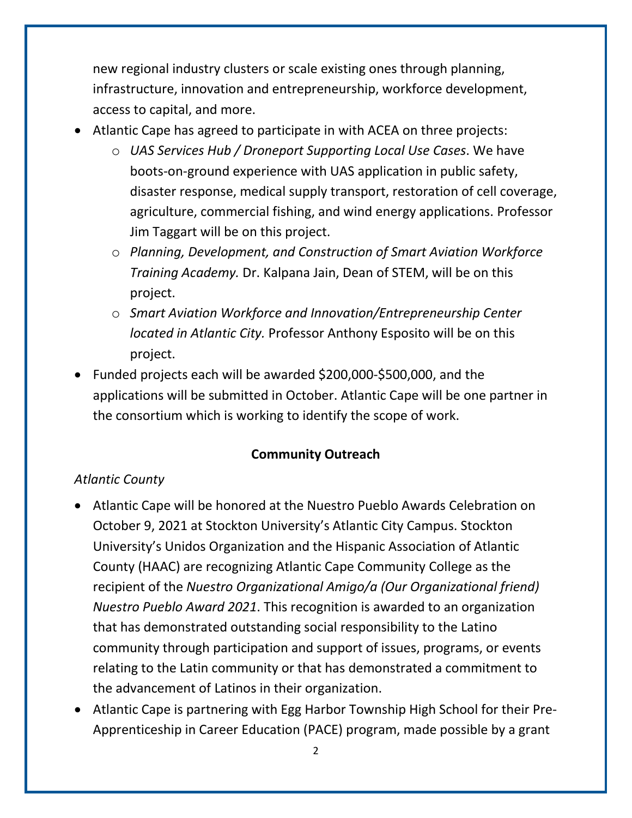new regional industry clusters or scale existing ones through planning, infrastructure, innovation and entrepreneurship, workforce development, access to capital, and more.

- Atlantic Cape has agreed to participate in with ACEA on three projects:
	- o *UAS Services Hub / Droneport Supporting Local Use Cases*. We have boots-on-ground experience with UAS application in public safety, disaster response, medical supply transport, restoration of cell coverage, agriculture, commercial fishing, and wind energy applications. Professor Jim Taggart will be on this project.
	- o *Planning, Development, and Construction of Smart Aviation Workforce Training Academy.* Dr. Kalpana Jain, Dean of STEM, will be on this project.
	- o *Smart Aviation Workforce and Innovation/Entrepreneurship Center located in Atlantic City.* Professor Anthony Esposito will be on this project.
- Funded projects each will be awarded \$200,000-\$500,000, and the applications will be submitted in October. Atlantic Cape will be one partner in the consortium which is working to identify the scope of work.

# **Community Outreach**

# *Atlantic County*

- Atlantic Cape will be honored at the Nuestro Pueblo Awards Celebration on October 9, 2021 at Stockton University's Atlantic City Campus. Stockton University's Unidos Organization and the Hispanic Association of Atlantic County (HAAC) are recognizing Atlantic Cape Community College as the recipient of the *Nuestro Organizational Amigo/a (Our Organizational friend) Nuestro Pueblo Award 2021*. This recognition is awarded to an organization that has demonstrated outstanding social responsibility to the Latino community through participation and support of issues, programs, or events relating to the Latin community or that has demonstrated a commitment to the advancement of Latinos in their organization.
- Atlantic Cape is partnering with Egg Harbor Township High School for their Pre-Apprenticeship in Career Education (PACE) program, made possible by a grant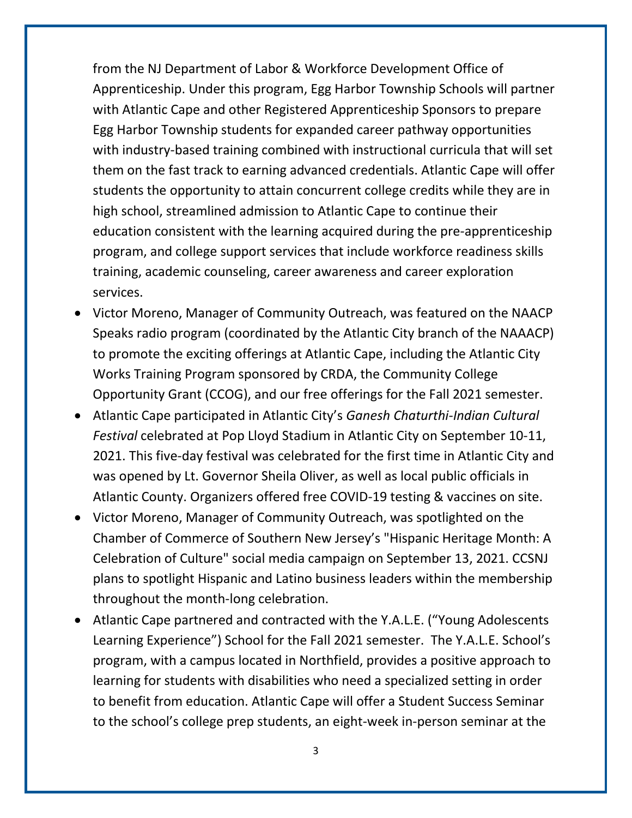from the NJ Department of Labor & Workforce Development Office of Apprenticeship. Under this program, Egg Harbor Township Schools will partner with Atlantic Cape and other Registered Apprenticeship Sponsors to prepare Egg Harbor Township students for expanded career pathway opportunities with industry-based training combined with instructional curricula that will set them on the fast track to earning advanced credentials. Atlantic Cape will offer students the opportunity to attain concurrent college credits while they are in high school, streamlined admission to Atlantic Cape to continue their education consistent with the learning acquired during the pre-apprenticeship program, and college support services that include workforce readiness skills training, academic counseling, career awareness and career exploration services.

- Victor Moreno, Manager of Community Outreach, was featured on the NAACP Speaks radio program (coordinated by the Atlantic City branch of the NAAACP) to promote the exciting offerings at Atlantic Cape, including the Atlantic City Works Training Program sponsored by CRDA, the Community College Opportunity Grant (CCOG), and our free offerings for the Fall 2021 semester.
- Atlantic Cape participated in Atlantic City's *Ganesh Chaturthi-Indian Cultural Festival* celebrated at Pop Lloyd Stadium in Atlantic City on September 10-11, 2021. This five-day festival was celebrated for the first time in Atlantic City and was opened by Lt. Governor Sheila Oliver, as well as local public officials in Atlantic County. Organizers offered free COVID-19 testing & vaccines on site.
- Victor Moreno, Manager of Community Outreach, was spotlighted on the Chamber of Commerce of Southern New Jersey's "Hispanic Heritage Month: A Celebration of Culture" social media campaign on September 13, 2021. CCSNJ plans to spotlight Hispanic and Latino business leaders within the membership throughout the month-long celebration.
- Atlantic Cape partnered and contracted with the Y.A.L.E. ("Young Adolescents Learning Experience") School for the Fall 2021 semester. The Y.A.L.E. School's program, with a campus located in Northfield, provides a positive approach to learning for students with disabilities who need a specialized setting in order to benefit from education. Atlantic Cape will offer a Student Success Seminar to the school's college prep students, an eight-week in-person seminar at the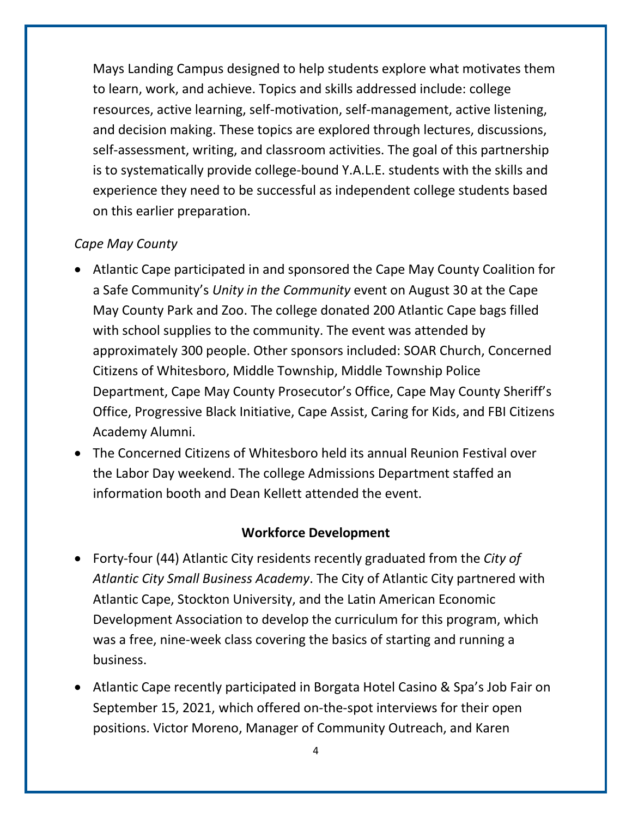Mays Landing Campus designed to help students explore what motivates them to learn, work, and achieve. Topics and skills addressed include: college resources, active learning, self-motivation, self-management, active listening, and decision making. These topics are explored through lectures, discussions, self-assessment, writing, and classroom activities. The goal of this partnership is to systematically provide college-bound Y.A.L.E. students with the skills and experience they need to be successful as independent college students based on this earlier preparation.

#### *Cape May County*

- Atlantic Cape participated in and sponsored the Cape May County Coalition for a Safe Community's *Unity in the Community* event on August 30 at the Cape May County Park and Zoo. The college donated 200 Atlantic Cape bags filled with school supplies to the community. The event was attended by approximately 300 people. Other sponsors included: SOAR Church, Concerned Citizens of Whitesboro, Middle Township, Middle Township Police Department, Cape May County Prosecutor's Office, Cape May County Sheriff's Office, Progressive Black Initiative, Cape Assist, Caring for Kids, and FBI Citizens Academy Alumni.
- The Concerned Citizens of Whitesboro held its annual Reunion Festival over the Labor Day weekend. The college Admissions Department staffed an information booth and Dean Kellett attended the event.

#### **Workforce Development**

- Forty-four (44) Atlantic City residents recently graduated from the *City of Atlantic City Small Business Academy*. The City of Atlantic City partnered with Atlantic Cape, Stockton University, and the Latin American Economic Development Association to develop the curriculum for this program, which was a free, nine-week class covering the basics of starting and running a business.
- Atlantic Cape recently participated in Borgata Hotel Casino & Spa's Job Fair on September 15, 2021, which offered on-the-spot interviews for their open positions. Victor Moreno, Manager of Community Outreach, and Karen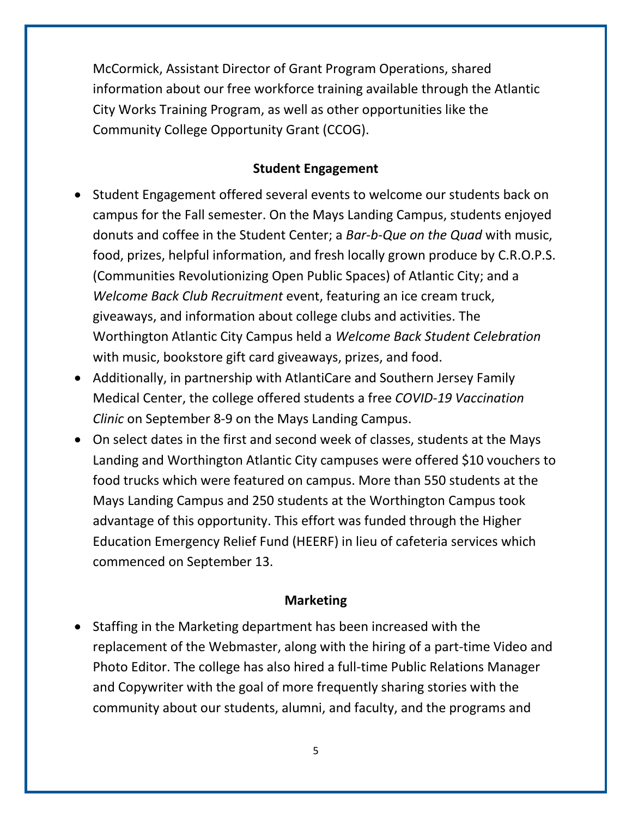McCormick, Assistant Director of Grant Program Operations, shared information about our free workforce training available through the Atlantic City Works Training Program, as well as other opportunities like the Community College Opportunity Grant (CCOG).

#### **Student Engagement**

- Student Engagement offered several events to welcome our students back on campus for the Fall semester. On the Mays Landing Campus, students enjoyed donuts and coffee in the Student Center; a *Bar-b-Que on the Quad* with music, food, prizes, helpful information, and fresh locally grown produce by C.R.O.P.S. (Communities Revolutionizing Open Public Spaces) of Atlantic City; and a *Welcome Back Club Recruitment* event, featuring an ice cream truck, giveaways, and information about college clubs and activities. The Worthington Atlantic City Campus held a *Welcome Back Student Celebration* with music, bookstore gift card giveaways, prizes, and food.
- Additionally, in partnership with AtlantiCare and Southern Jersey Family Medical Center, the college offered students a free *COVID-19 Vaccination Clinic* on September 8-9 on the Mays Landing Campus.
- On select dates in the first and second week of classes, students at the Mays Landing and Worthington Atlantic City campuses were offered \$10 vouchers to food trucks which were featured on campus. More than 550 students at the Mays Landing Campus and 250 students at the Worthington Campus took advantage of this opportunity. This effort was funded through the Higher Education Emergency Relief Fund (HEERF) in lieu of cafeteria services which commenced on September 13.

#### **Marketing**

• Staffing in the Marketing department has been increased with the replacement of the Webmaster, along with the hiring of a part-time Video and Photo Editor. The college has also hired a full-time Public Relations Manager and Copywriter with the goal of more frequently sharing stories with the community about our students, alumni, and faculty, and the programs and